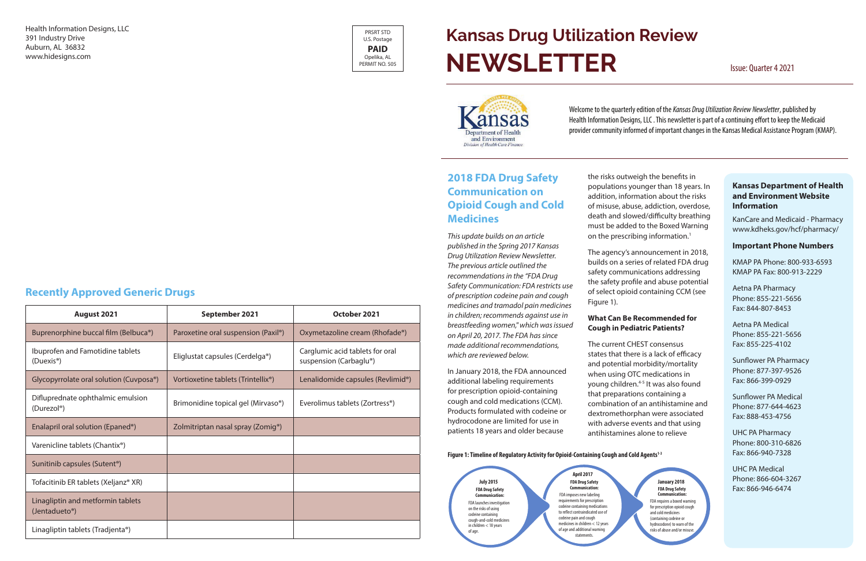### **Kansas Department of Health and Environment Website Information**

KanCare and Medicaid - Pharmacy www.kdheks.gov/hcf/pharmacy/

#### **Important Phone Numbers**

KMAP PA Phone: 800-933-6593 KMAP PA Fax: 800-913-2229

Aetna PA Pharmacy Phone: 855-221-5656 Fax: 844-807-8453

Aetna PA Medical Phone: 855-221-5656 Fax: 855-225-4102

Sunflower PA Pharmacy Phone: 877-397-9526 Fax: 866-399-0929

Sunflower PA Medical Phone: 877-644-4623 Fax: 888-453-4756

UHC PA Pharmacy Phone: 800-310-6826 Fax: 866-940-7328

UHC PA Medical Phone: 866-604-3267 Fax: 866-946-6474

Health Information Designs, LLC 391 Industry Drive Auburn, AL 36832 www.hidesigns.com

## **2018 FDA Drug Safety Communication on Opioid Cough and Cold Medicines**

the risks outweigh the benefits in populations younger than 18 years. In addition, information about the risks of misuse, abuse, addiction, overdose, death and slowed/difficulty breathing must be added to the Boxed Warning on the prescribing information.<sup>1</sup>

*This update builds on an article published in the Spring 2017 Kansas Drug Utilization Review Newsletter. The previous article outlined the recommendations in the "FDA Drug Safety Communication: FDA restricts use of prescription codeine pain and cough medicines and tramadol pain medicines in children; recommends against use in breastfeeding women," which was issued on April 20, 2017. The FDA has since made additional recommendations, which are reviewed below.*

In January 2018, the FDA announced additional labeling requirements for prescription opioid-containing cough and cold medications (CCM). Products formulated with codeine or hydrocodone are limited for use in patients 18 years and older because

# **Kansas Drug Utilization Review NEWSLETTER** Issue: Quarter 4 2021



The agency's announcement in 2018, builds on a series of related FDA drug safety communications addressing the safety profile and abuse potential of select opioid containing CCM (see Figure 1).

#### **What Can Be Recommended for Cough in Pediatric Patients?**

FDA requires a boxed warning for prescription opioid cough and cold medicines (containing codeine or hydrocodone) to warn of the risks of abuse and/or misus

The current CHEST consensus states that there is a lack of efficacy and potential morbidity/mortality when using OTC medications in young children.<sup>4-5</sup> It was also found that preparations containing a combination of an antihistamine and dextromethorphan were associated with adverse events and that using antihistamines alone to relieve

#### Figure 1: Timeline of Regulatory Activity for Opioid-Containing Cough and Cold Agents<sup>1-3</sup>

# **Recently Approved Generic Drugs**

| August 2021                                                  | September 2021                                  | October 2021                                              |  |
|--------------------------------------------------------------|-------------------------------------------------|-----------------------------------------------------------|--|
| Buprenorphine buccal film (Belbuca <sup>®</sup> )            | Paroxetine oral suspension (Paxil®)             | Oxymetazoline cream (Rhofade®)                            |  |
| Ibuprofen and Famotidine tablets<br>(Duexis <sup>®</sup> )   | Eliglustat capsules (Cerdelga®)                 | Carglumic acid tablets for oral<br>suspension (Carbaglu®) |  |
| Glycopyrrolate oral solution (Cuvposa <sup>®</sup> )         | Vortioxetine tablets (Trintellix <sup>®</sup> ) | Lenalidomide capsules (Revlimid <sup>®</sup> )            |  |
| Difluprednate ophthalmic emulsion<br>(Durezol <sup>®</sup> ) | Brimonidine topical gel (Mirvaso <sup>®</sup> ) | Everolimus tablets (Zortress <sup>®</sup> )               |  |
| Enalapril oral solution (Epaned <sup>®</sup> )               | Zolmitriptan nasal spray (Zomig <sup>®</sup> )  |                                                           |  |
| Varenicline tablets (Chantix <sup>®</sup> )                  |                                                 |                                                           |  |
| Sunitinib capsules (Sutent <sup>®</sup> )                    |                                                 |                                                           |  |
| Tofacitinib ER tablets (Xeljanz® XR)                         |                                                 |                                                           |  |
| Linagliptin and metformin tablets<br>(Jentadueto®)           |                                                 |                                                           |  |
| Linagliptin tablets (Tradjenta®)                             |                                                 |                                                           |  |

Welcome to the quarterly edition of the *Kansas Drug Utilization Review Newsletter*, published by Health Information Designs, LLC . This newsletter is part of a continuing effort to keep the Medicaid provider community informed of important changes in the Kansas Medical Assistance Program (KMAP).

**FDA Drug Safety Communication:** FDA launches investigation on the risks of using codeine containing cough-and-cold medicines in children < 18 years of age. **July 2015 FDA Drug Safety Communication:** FDA imposes new labeling requirements for prescription codeine containing medications to reflect contraindicated use of codeine pain and cough medicines in children < 12 years of age and additional warning statement **April 2017**

#### **January 2018 FDA Drug Safety Communication:**